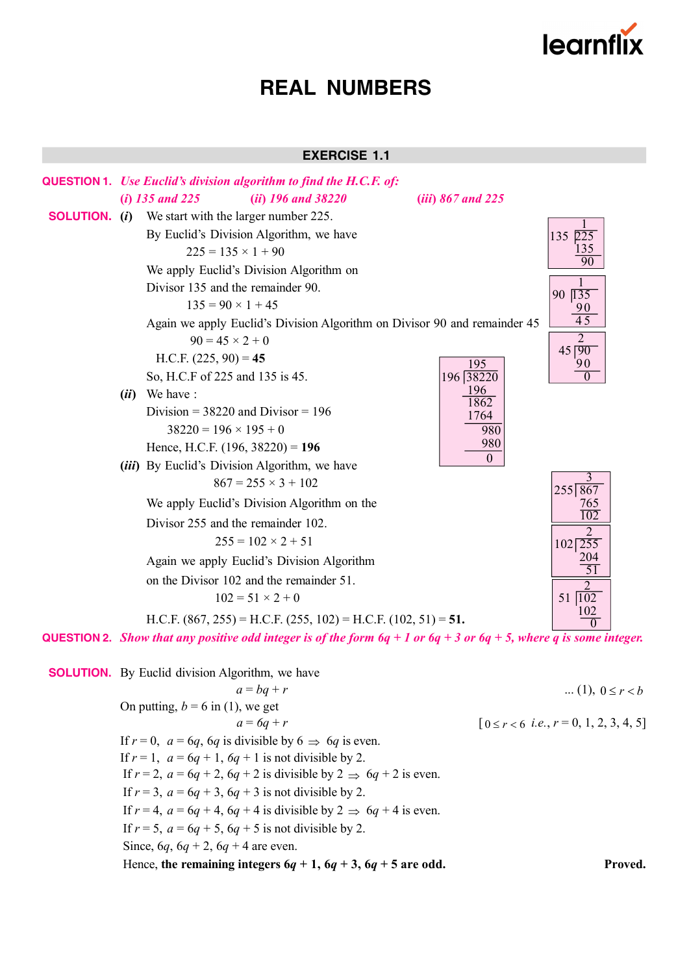

# **EXERCISE 1.1**



On putting,  $b = 6$  in (1), we get  $a = 6q + r$  [  $0 \le r < 6$  *i.e.*,  $r = 0, 1, 2, 3, 4, 5$ ] If  $r = 0$ ,  $a = 6q$ ,  $6q$  is divisible by  $6 \implies 6q$  is even. If  $r = 1$ ,  $a = 6q + 1$ ,  $6q + 1$  is not divisible by 2. If  $r = 2$ ,  $a = 6q + 2$ ,  $6q + 2$  is divisible by  $2 \implies 6q + 2$  is even. If  $r = 3$ ,  $a = 6q + 3$ ,  $6q + 3$  is not divisible by 2. If  $r = 4$ ,  $a = 6q + 4$ ,  $6q + 4$  is divisible by  $2 \implies 6q + 4$  is even. If  $r = 5$ ,  $a = 6q + 5$ ,  $6q + 5$  is not divisible by 2. Since,  $6q$ ,  $6q + 2$ ,  $6q + 4$  are even. Hence, the remaining integers  $6q + 1$ ,  $6q + 3$ ,  $6q + 5$  are odd. Proved.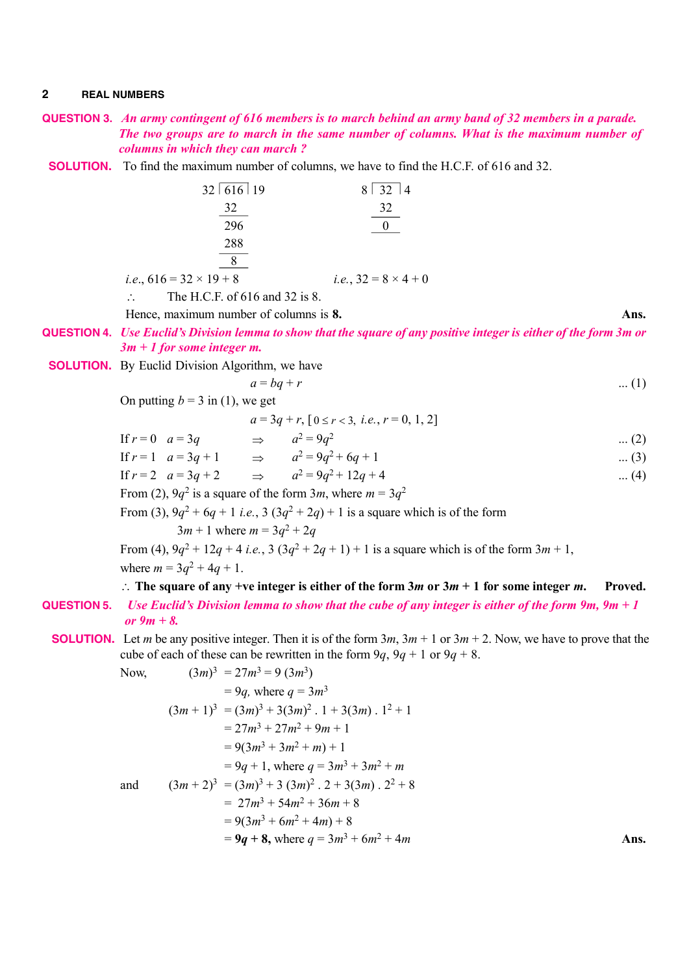- **QUESTION 3.** *An army contingent of 616 members is to march behind an army band of 32 members in a parade. The two groups are to march in the same number of columns. What is the maximum number of* *columns in which they can march ?*
	- **SOLUTION.** To find the maximum number of columns, we have to find the H.C.F. of 616 and 32.

| 32   616   19                                                | $8 \mid 32 \mid 4$                  |
|--------------------------------------------------------------|-------------------------------------|
| 32                                                           | 32                                  |
| 296                                                          |                                     |
| 288                                                          |                                     |
|                                                              |                                     |
| <i>i.e.</i> , $616 = 32 \times 19 + 8$                       | <i>i.e.</i> , $32 = 8 \times 4 + 0$ |
| The H.C.F. of 616 and 32 is 8.<br>$\mathcal{L}_{\mathbf{z}}$ |                                     |

Hence, maximum number of columns is **8. Ans.**

**QUESTION 4.** *Use Euclid's Division lemma to show that the square of any positive integer is either of the form 3m or 3m + 1 for some integer m.*

**SOLUTION.** By Euclid Division Algorithm, we have

$$
a = bq + r \tag{1}
$$

On putting 
$$
b = 3
$$
 in (1), we get

| $a=3q+r$ , $[0 \le r < 3, i.e., r = 0, 1, 2]$ |
|-----------------------------------------------|
|-----------------------------------------------|

If 
$$
r = 0
$$
  $a = 3q$   $\Rightarrow$   $a^2 = 9q^2$  ... (2)  
\nIf  $r = 1$   $a = 3q + 1$   $\Rightarrow$   $a^2 = 9q^2 + 6q + 1$  ... (3)  
\nIf  $r = 2$   $a = 3q + 2$   $\Rightarrow$   $a^2 = 9q^2 + 12q + 4$  ... (4)

From (2),  $9q^2$  is a square of the form  $3m$ , where  $m = 3q^2$ 

From (3),  $9q^2 + 6q + 1$  *i.e.*,  $3(3q^2 + 2q) + 1$  is a square which is of the form

 $3m + 1$  where  $m = 3q^2 + 2q$ 

From (4),  $9q^2 + 12q + 4$  *i.e.*,  $3(3q^2 + 2q + 1) + 1$  is a square which is of the form  $3m + 1$ , where  $m = 3q^2 + 4q + 1$ .

∴ The square of any +ve integer is either of the form  $3m$  or  $3m + 1$  for some integer  $m$ . Proved.

- **QUESTION 5.** *Use Euclid's Division lemma to show that the cube of any integer is either of the form 9m, 9m + 1 or 9m + 8.*
	- **SOLUTION.** Let *m* be any positive integer. Then it is of the form  $3m$ ,  $3m + 1$  or  $3m + 2$ . Now, we have to prove that the cube of each of these can be rewritten in the form  $9q$ ,  $9q + 1$  or  $9q + 8$ .

Now,  
\n
$$
(3m)^3 = 27m^3 = 9 (3m^3)
$$
\n
$$
= 9q, \text{ where } q = 3m^3
$$
\n
$$
(3m + 1)^3 = (3m)^3 + 3(3m)^2 \cdot 1 + 3(3m) \cdot 1^2 + 1
$$
\n
$$
= 27m^3 + 27m^2 + 9m + 1
$$
\n
$$
= 9(3m^3 + 3m^2 + m) + 1
$$
\n
$$
= 9q + 1, \text{ where } q = 3m^3 + 3m^2 + m
$$
\nand  
\n
$$
(3m + 2)^3 = (3m)^3 + 3 (3m)^2 \cdot 2 + 3(3m) \cdot 2^2 + 8
$$
\n
$$
= 27m^3 + 54m^2 + 36m + 8
$$
\n
$$
= 9(3m^3 + 6m^2 + 4m) + 8
$$
\n
$$
= 9q + 8, \text{ where } q = 3m^3 + 6m^2 + 4m
$$
\nAns.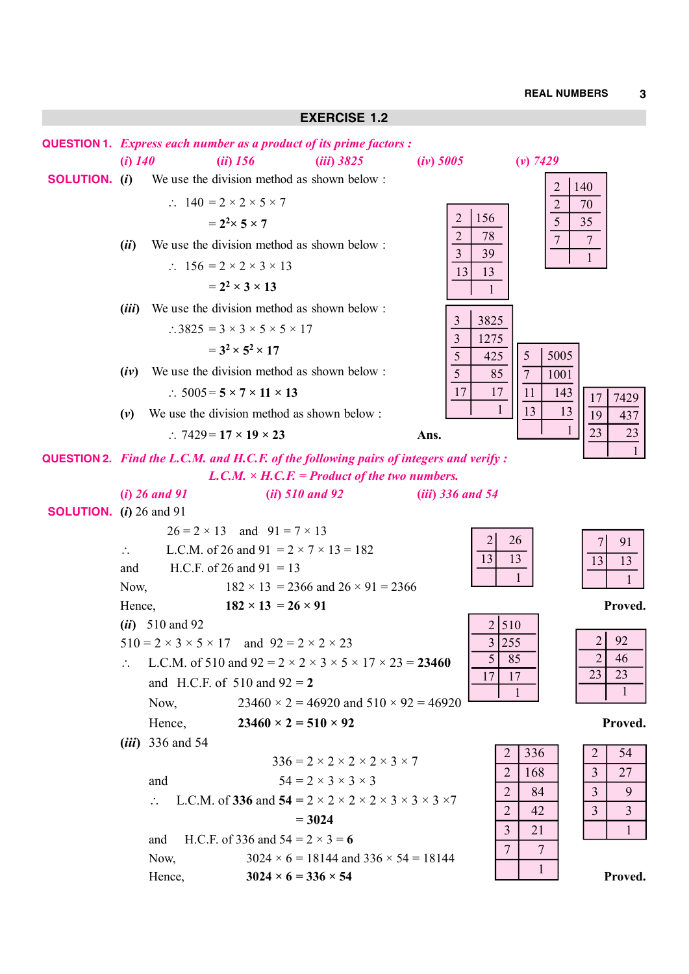### **EXERCISE 1.2**

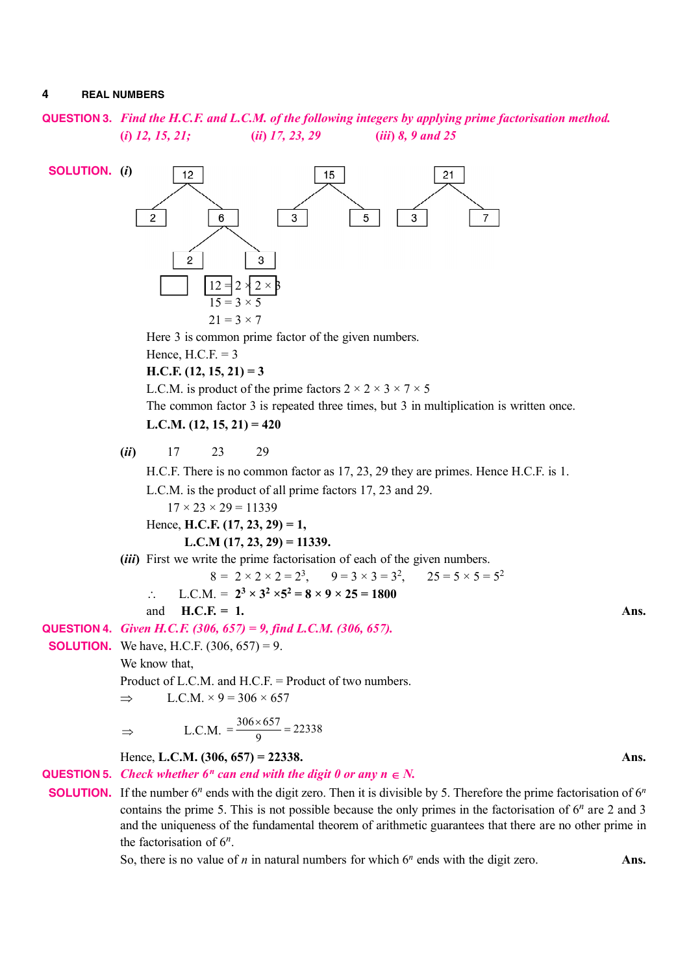**QUESTION 3.** *Find the H.C.F. and L.C.M. of the following integers by applying prime factorisation method.* **(***i***)** *12, 15, 21;* **(***ii***)** *17, 23, 29* **(***iii***)** *8, 9 and 25*



the factorisation of  $6^n$ .

So, there is no value of  $n$  in natural numbers for which  $6^n$  ends with the digit zero. **Ans.**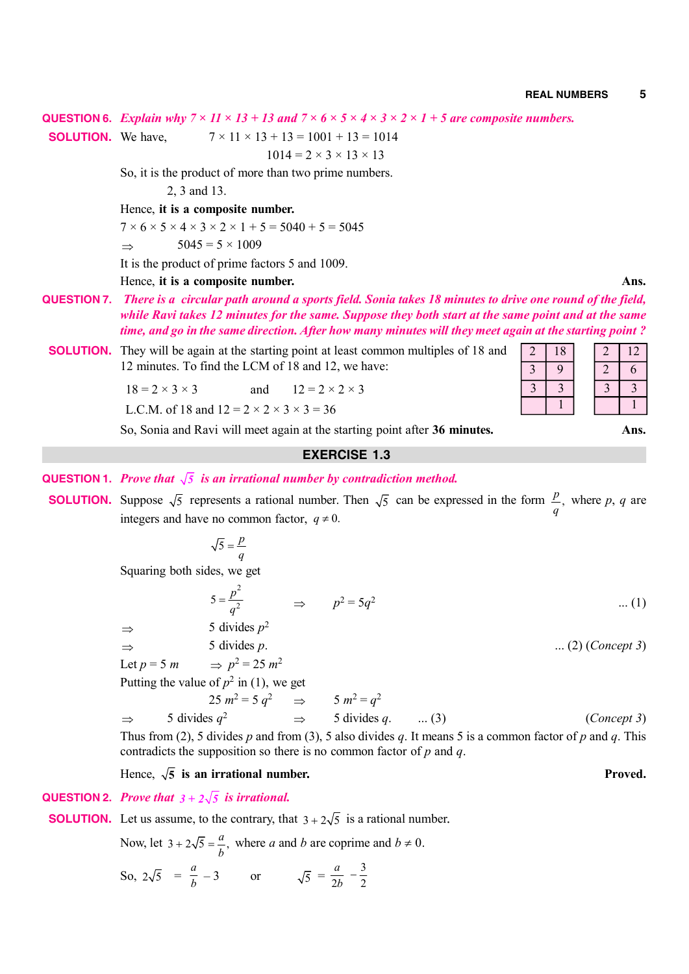**QUESTION 6.** *Explain why*  $7 \times 11 \times 13 + 13$  and  $7 \times 6 \times 5 \times 4 \times 3 \times 2 \times 1 + 5$  are composite numbers.

**SOLUTION.** We have,  $7 \times 11 \times 13 + 13 = 1001 + 13 = 1014$ 

 $1014 = 2 \times 3 \times 13 \times 13$ 

So, it is the product of more than two prime numbers.

2, 3 and 13.

Hence, **it is a composite number.**

 $7 \times 6 \times 5 \times 4 \times 3 \times 2 \times 1 + 5 = 5040 + 5 = 5045$ 

$$
\Rightarrow \qquad 5045 = 5 \times 1009
$$

It is the product of prime factors 5 and 1009.

Hence, **it is a composite number. Ans.**

- **QUESTION 7.** *There is a circular path around a sports field. Sonia takes 18 minutes to drive one round of the field, while Ravi takes 12 minutes for the same. Suppose they both start at the same point and at the same time, and go in the same direction. After how many minutes will they meet again at the starting point ?*
	- **SOLUTION.** They will be again at the starting point at least common multiples of 18 and 12 minutes. To find the LCM of 18 and 12, we have:

 $18 = 2 \times 3 \times 3$  and  $12 = 2 \times 2 \times 3$ 

L.C.M. of 18 and  $12 = 2 \times 2 \times 3 \times 3 = 36$ 

So, Sonia and Ravi will meet again at the starting point after 36 minutes.

# **EXERCISE 1.3**

- **QUESTION 1.** *Prove that*  $\sqrt{5}$  *is an irrational number by contradiction method.*
- **SOLUTION.** Suppose  $\sqrt{5}$  represents a rational number. Then  $\sqrt{5}$  can be expressed in the form  $\frac{p}{\sqrt{5}}$ , *q* where *p*, *q* are integers and have no common factor,  $q \neq 0$ .

$$
\sqrt{5} = \frac{p}{q}
$$

Squaring both sides, we get

$$
5 = \frac{p^2}{q^2} \qquad \Rightarrow \qquad p^2 = 5q^2 \qquad \qquad \dots (1)
$$

$$
\Rightarrow \qquad 5 \text{ divides } p^2
$$
  

$$
\Rightarrow \qquad 5 \text{ divides } p.
$$
 (2) (Concept 3)

$$
\Rightarrow \qquad \qquad \text{or } \qquad \qquad \text{or } \qquad
$$

Let  $p = 5$  *m*  $n^2 = 25 \; m^2$ 

Putting the value of  $p^2$  in (1), we get

$$
25 \ m^2 = 5 \ q^2 \Rightarrow 5 \ m^2 = q^2
$$
  
\n
$$
\Rightarrow 5 \ \text{divides} \ q^2 \Rightarrow 5 \ \text{divides} \ q. \qquad \dots (3)
$$
 (Concept 3)

Thus from (2), 5 divides *p* and from (3), 5 also divides *q*. It means 5 is a common factor of *p* and *q*. This contradicts the supposition so there is no common factor of *p* and *q*.

Hence,  $\sqrt{5}$  is an irrational number.

# **QUESTION 2.** *Prove that*  $3 + 2\sqrt{5}$  *is irrational.*

**SOLUTION.** Let us assume, to the contrary, that  $3 + 2\sqrt{5}$  is a rational number.

Now, let 
$$
3 + 2\sqrt{5} = \frac{a}{b}
$$
, where *a* and *b* are coprime and  $b \ne 0$ .  
So,  $2\sqrt{5} = \frac{a}{b} - 3$  or  $\sqrt{5} = \frac{a}{2b} - \frac{3}{2}$ 

| $\overline{2}$ | 18 |               | 12 |
|----------------|----|---------------|----|
|                | 9  | ŋ<br>$\angle$ | 6  |
|                |    |               |    |
|                |    |               |    |

**Proved.**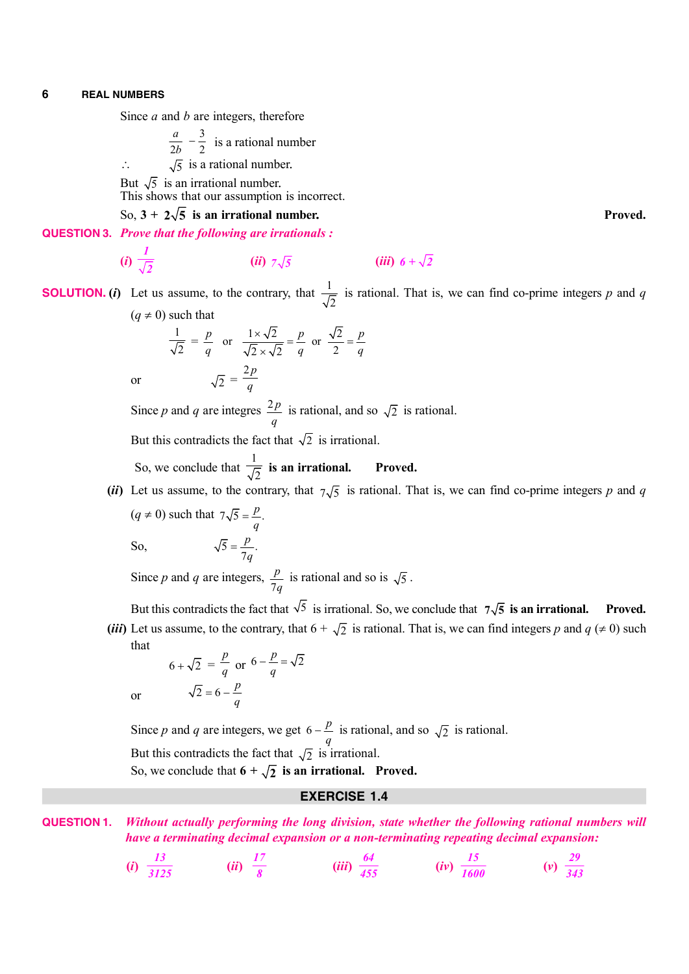Since *a* and *b* are integers, therefore

3  $2b$  2 *a*  $\frac{i}{b}$  –  $\frac{3}{2}$  is a rational number

$$
\therefore \qquad \sqrt{5} \text{ is a rational number.}
$$

But  $\sqrt{5}$  is an irrational number. This shows that our assumption is incorrect.

So,  $3 + 2\sqrt{5}$  is an irrational number. **Proved.** Proved.

**QUESTION 3.** *Prove that the following are irrationals :*

(*i*) 
$$
\frac{1}{\sqrt{2}}
$$
 (*ii*)  $7\sqrt{5}$  (*iii*)  $6 + \sqrt{2}$ 

**SOLUTION.** (*i*) Let us assume, to the contrary, that  $\frac{1}{\sqrt{2}}$  is rational. That is, we can find co-prime integers *p* and *q*  $(q \neq 0)$  such that

$$
\frac{1}{\sqrt{2}} = \frac{p}{q} \quad \text{or} \quad \frac{1 \times \sqrt{2}}{\sqrt{2} \times \sqrt{2}} = \frac{p}{q} \quad \text{or} \quad \frac{\sqrt{2}}{2} = \frac{p}{q}
$$
  
or 
$$
\sqrt{2} = \frac{2p}{q}
$$

Since *p* and *q* are integres  $\frac{2p}{2}$  $\frac{d^2P}{dq}$  is rational, and so  $\sqrt{2}$  is rational.

But this contradicts the fact that  $\sqrt{2}$  is irrational.

*p*  $=\frac{P}{7q}$ 

So, we conclude that  $\frac{1}{\sqrt{2}}$  $\frac{1}{2}$  is an irrational. Proved.

(*ii*) Let us assume, to the contrary, that  $7\sqrt{5}$  is rational. That is, we can find co-prime integers *p* and *q*  $(q \neq 0)$  such that  $7\sqrt{5} = \frac{p}{n}$ .  $=\frac{P}{q}$ 

So,  $\sqrt{5} = \frac{P}{7q}$ .

Since *p* and *q* are integers, 7 *p*  $\frac{9}{q}$  is rational and so is  $\sqrt{5}$ .

But this contradicts the fact that  $\sqrt{5}$  is irrational. So, we conclude that  $7\sqrt{5}$  is an irrational. Proved. (*iii*) Let us assume, to the contrary, that  $6 + \sqrt{2}$  is rational. That is, we can find integers *p* and *q* ( $\neq 0$ ) such

that

or 
$$
6 + \sqrt{2} = \frac{p}{q}
$$
 or  $6 - \frac{p}{q} = \sqrt{2}$   
or  $\sqrt{2} = 6 - \frac{p}{q}$ 

Since *p* and *q* are integers, we get  $6 - \frac{p}{q}$  $-\frac{p}{q}$  is rational, and so  $\sqrt{2}$  is rational.

But this contradicts the fact that  $\sqrt{2}$  is irrational.

So, we conclude that  $6 + \sqrt{2}$  is an irrational. Proved.

## **EXERCISE 1.4**

**QUESTION 1.** *Without actually performing the long division, state whether the following rational numbers will have a terminating decimal expansion or a non-terminating repeating decimal expansion:*

(i) 
$$
\frac{13}{3125}
$$
 (ii)  $\frac{17}{8}$  (iii)  $\frac{64}{455}$  (iv)  $\frac{15}{1600}$  (v)  $\frac{29}{343}$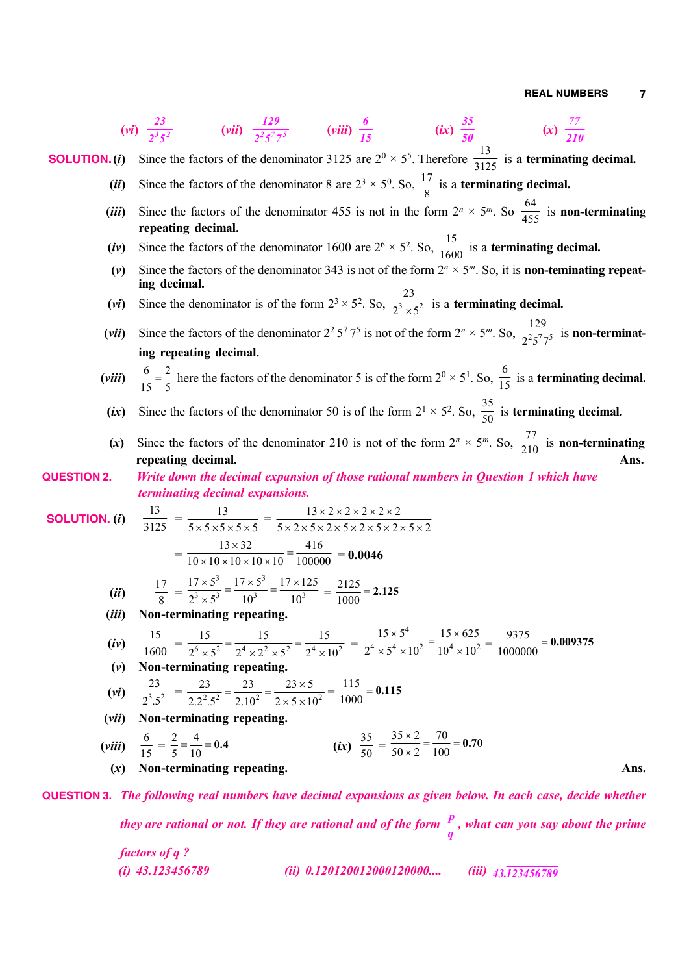(vi) 
$$
\frac{23}{2^3s^2}
$$
 (vii)  $\frac{129}{2^3s^3}$  (viii)  $\frac{6}{15}$  (ix)  $\frac{35}{30}$  (x)  $\frac{77}{300}$   
\n**SOLUTION. (i)** Since the factors of the denominator 3125 are 2<sup>9</sup> × 5<sup>5</sup>. Therefore  $\frac{13}{3125}$  is a terminating decimal.  
\n(ii) Since the factors of the denominator 455 is not in the form  $2^n \times 5^m$ . So  $\frac{64}{455}$  is non-terminating  
\nrepeating decimal.  
\n(iv) Since the factors of the denominator 455 is not in the form  $2^n \times 5^m$ . So  $\frac{1}{160}$  is a terminating decimal.  
\n(v) Since the factors of the denominator 343 is not of the form  $2^n \times 5^m$ . So,  $\frac{1}{1600}$  is a terminating decimal.  
\n(vi) Since the factors of the denominator 2<sup>2</sup> × 7<sup>2</sup>. So,  $\frac{1}{2\sqrt{3}}$  is a terminating decimal.  
\n(vii) Since the factors of the denominator 2<sup>2</sup> × 7<sup>2</sup>. So,  $\frac{23}{2\sqrt{3}}$  is a terminating decimal.  
\n(viii)  $\frac{6}{15} = \frac{2}{5}$  here the factors of the denominator 50 is of the form  $2^0 \times 5^1$ . So,  $\frac{5}{21}$  is a terminating decimal.  
\n(vii) Since the factors of the denominator 50 is of the form  $2^0 \times 5^1$ . So,  $\frac{5}{30}$  is terminating decimal.  
\n(viii)  $\frac{6}{15} = \frac{2}{5}$  here the factors of the denominator 50 is of the form  $2^0 \times 5^1$ . So,  $\frac{5}{30}$  is terminating decimal.  
\n(c) Since the factors of the denominator 50 is of the form  $2^0 \times 5^1$ . So,  $\frac{5}{30}$  is terminating decimal.  
\n(c) Since the factors of the denominator 210 is not of the form  $2^n \times 5^m$ . So,  $\frac{77}{270}$  is non-terminating decimal.  
\n(b)  $\frac{13}{3125} = \frac{13}{5 \times$ 

*they are rational or not. If they are rational and of the form*  $\frac{p}{q}$ *, what can you say about the prime* 

| $factors of q ?$ | (ii) 0.120120012000120000.... | (iii) 43.123456789 |
|------------------|-------------------------------|--------------------|
|------------------|-------------------------------|--------------------|